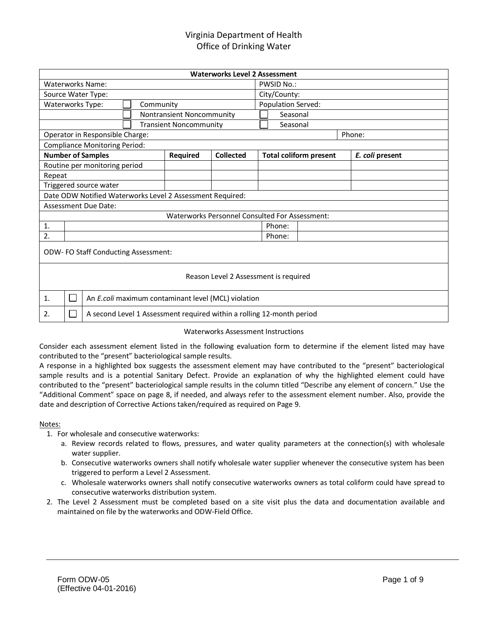|                                                           |                                 |                                                     | <b>Waterworks Level 2 Assessment</b> |                                                                       |  |                 |  |  |
|-----------------------------------------------------------|---------------------------------|-----------------------------------------------------|--------------------------------------|-----------------------------------------------------------------------|--|-----------------|--|--|
| Waterworks Name:                                          |                                 |                                                     |                                      | PWSID No.:                                                            |  |                 |  |  |
| Source Water Type:                                        |                                 |                                                     |                                      | City/County:                                                          |  |                 |  |  |
| Waterworks Type:                                          | Population Served:<br>Community |                                                     |                                      |                                                                       |  |                 |  |  |
|                                                           | Nontransient Noncommunity       |                                                     |                                      |                                                                       |  |                 |  |  |
|                                                           |                                 | <b>Transient Noncommunity</b>                       |                                      | Seasonal                                                              |  |                 |  |  |
| Operator in Responsible Charge:                           |                                 |                                                     |                                      |                                                                       |  | Phone:          |  |  |
| <b>Compliance Monitoring Period:</b>                      |                                 |                                                     |                                      |                                                                       |  |                 |  |  |
| <b>Number of Samples</b>                                  |                                 | Required                                            | Collected                            | <b>Total coliform present</b>                                         |  | E. coli present |  |  |
| Routine per monitoring period                             |                                 |                                                     |                                      |                                                                       |  |                 |  |  |
| Repeat                                                    |                                 |                                                     |                                      |                                                                       |  |                 |  |  |
| Triggered source water                                    |                                 |                                                     |                                      |                                                                       |  |                 |  |  |
| Date ODW Notified Waterworks Level 2 Assessment Required: |                                 |                                                     |                                      |                                                                       |  |                 |  |  |
| Assessment Due Date:                                      |                                 |                                                     |                                      |                                                                       |  |                 |  |  |
|                                                           |                                 |                                                     |                                      | Waterworks Personnel Consulted For Assessment:                        |  |                 |  |  |
| 1.                                                        |                                 |                                                     |                                      | Phone:                                                                |  |                 |  |  |
| 2.                                                        |                                 |                                                     |                                      | Phone:                                                                |  |                 |  |  |
| <b>ODW-FO Staff Conducting Assessment:</b>                |                                 |                                                     |                                      |                                                                       |  |                 |  |  |
| Reason Level 2 Assessment is required                     |                                 |                                                     |                                      |                                                                       |  |                 |  |  |
| 1.                                                        |                                 | An E.coli maximum contaminant level (MCL) violation |                                      |                                                                       |  |                 |  |  |
| 2.                                                        |                                 |                                                     |                                      | A second Level 1 Assessment required within a rolling 12-month period |  |                 |  |  |

#### Waterworks Assessment Instructions

Consider each assessment element listed in the following evaluation form to determine if the element listed may have contributed to the "present" bacteriological sample results.

A response in a highlighted box suggests the assessment element may have contributed to the "present" bacteriological sample results and is a potential Sanitary Defect. Provide an explanation of why the highlighted element could have contributed to the "present" bacteriological sample results in the column titled "Describe any element of concern." Use the "Additional Comment" space on page 8, if needed, and always refer to the assessment element number. Also, provide the date and description of Corrective Actions taken/required as required on Page 9.

#### Notes:

- 1. For wholesale and consecutive waterworks:
	- a. Review records related to flows, pressures, and water quality parameters at the connection(s) with wholesale water supplier.
	- b. Consecutive waterworks owners shall notify wholesale water supplier whenever the consecutive system has been triggered to perform a Level 2 Assessment.
	- c. Wholesale waterworks owners shall notify consecutive waterworks owners as total coliform could have spread to consecutive waterworks distribution system.
- 2. The Level 2 Assessment must be completed based on a site visit plus the data and documentation available and maintained on file by the waterworks and ODW-Field Office.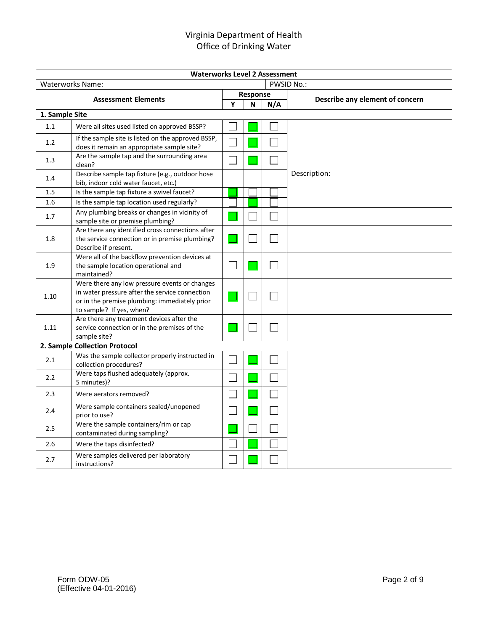| <b>Waterworks Level 2 Assessment</b> |                                                                                                                                                                              |          |   |     |                                 |  |  |  |  |
|--------------------------------------|------------------------------------------------------------------------------------------------------------------------------------------------------------------------------|----------|---|-----|---------------------------------|--|--|--|--|
|                                      | <b>Waterworks Name:</b>                                                                                                                                                      |          |   |     | <b>PWSID No.:</b>               |  |  |  |  |
|                                      | <b>Assessment Elements</b>                                                                                                                                                   | Response |   |     | Describe any element of concern |  |  |  |  |
|                                      |                                                                                                                                                                              | Y        | N | N/A |                                 |  |  |  |  |
| 1. Sample Site                       |                                                                                                                                                                              |          |   |     |                                 |  |  |  |  |
| 1.1                                  | Were all sites used listed on approved BSSP?                                                                                                                                 |          |   |     |                                 |  |  |  |  |
| 1.2                                  | If the sample site is listed on the approved BSSP,<br>does it remain an appropriate sample site?                                                                             |          |   |     |                                 |  |  |  |  |
| 1.3                                  | Are the sample tap and the surrounding area<br>clean?                                                                                                                        |          |   |     |                                 |  |  |  |  |
| 1.4                                  | Describe sample tap fixture (e.g., outdoor hose<br>bib, indoor cold water faucet, etc.)                                                                                      |          |   |     | Description:                    |  |  |  |  |
| 1.5                                  | Is the sample tap fixture a swivel faucet?                                                                                                                                   |          |   |     |                                 |  |  |  |  |
| 1.6                                  | Is the sample tap location used regularly?                                                                                                                                   |          |   |     |                                 |  |  |  |  |
| 1.7                                  | Any plumbing breaks or changes in vicinity of<br>sample site or premise plumbing?                                                                                            |          |   |     |                                 |  |  |  |  |
| 1.8                                  | Are there any identified cross connections after<br>the service connection or in premise plumbing?<br>Describe if present.                                                   |          |   |     |                                 |  |  |  |  |
| 1.9                                  | Were all of the backflow prevention devices at<br>the sample location operational and<br>maintained?                                                                         |          |   |     |                                 |  |  |  |  |
| 1.10                                 | Were there any low pressure events or changes<br>in water pressure after the service connection<br>or in the premise plumbing: immediately prior<br>to sample? If yes, when? |          |   |     |                                 |  |  |  |  |
| 1.11                                 | Are there any treatment devices after the<br>service connection or in the premises of the<br>sample site?                                                                    |          |   |     |                                 |  |  |  |  |
|                                      | 2. Sample Collection Protocol                                                                                                                                                |          |   |     |                                 |  |  |  |  |
| 2.1                                  | Was the sample collector properly instructed in<br>collection procedures?                                                                                                    |          |   |     |                                 |  |  |  |  |
| 2.2                                  | Were taps flushed adequately (approx.<br>5 minutes)?                                                                                                                         |          |   |     |                                 |  |  |  |  |
| 2.3                                  | Were aerators removed?                                                                                                                                                       |          |   |     |                                 |  |  |  |  |
| 2.4                                  | Were sample containers sealed/unopened<br>prior to use?                                                                                                                      |          |   |     |                                 |  |  |  |  |
| 2.5                                  | Were the sample containers/rim or cap<br>contaminated during sampling?                                                                                                       |          |   |     |                                 |  |  |  |  |
| 2.6                                  | Were the taps disinfected?                                                                                                                                                   |          |   |     |                                 |  |  |  |  |
| 2.7                                  | Were samples delivered per laboratory<br>instructions?                                                                                                                       |          |   |     |                                 |  |  |  |  |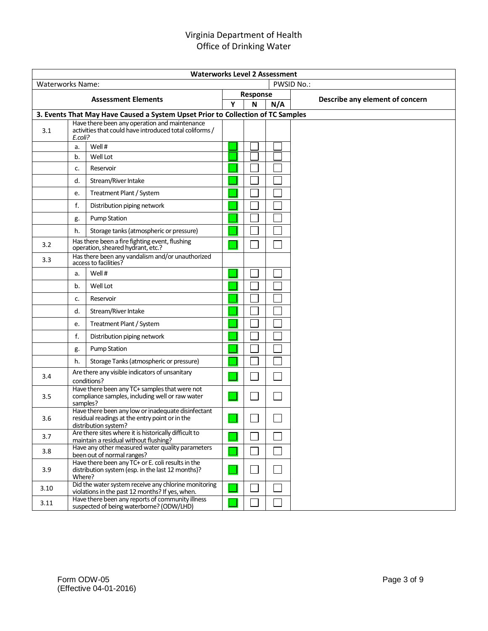| <b>Waterworks Level 2 Assessment</b> |                            |                                                                                                                              |   |          |     |                                 |  |
|--------------------------------------|----------------------------|------------------------------------------------------------------------------------------------------------------------------|---|----------|-----|---------------------------------|--|
| Waterworks Name:                     |                            |                                                                                                                              |   |          |     | <b>PWSID No.:</b>               |  |
|                                      | <b>Assessment Elements</b> |                                                                                                                              |   | Response |     | Describe any element of concern |  |
|                                      |                            |                                                                                                                              | Y | N        | N/A |                                 |  |
|                                      |                            | 3. Events That May Have Caused a System Upset Prior to Collection of TC Samples                                              |   |          |     |                                 |  |
| 3.1                                  | E.coli?                    | Have there been any operation and maintenance<br>activities that could have introduced total coliforms /                     |   |          |     |                                 |  |
|                                      | a.                         | Well #                                                                                                                       |   |          |     |                                 |  |
|                                      | b.                         | Well Lot                                                                                                                     |   |          |     |                                 |  |
|                                      | c.                         | Reservoir                                                                                                                    |   |          |     |                                 |  |
|                                      | d.                         | Stream/River Intake                                                                                                          |   |          |     |                                 |  |
|                                      | е.                         | Treatment Plant / System                                                                                                     |   |          |     |                                 |  |
|                                      | f.                         | Distribution piping network                                                                                                  |   |          |     |                                 |  |
|                                      | g.                         | <b>Pump Station</b>                                                                                                          |   |          |     |                                 |  |
|                                      | h.                         | Storage tanks (atmospheric or pressure)                                                                                      |   |          |     |                                 |  |
| 3.2                                  |                            | Has there been a fire fighting event, flushing<br>operation, sheared hydrant, etc.?                                          |   |          |     |                                 |  |
| 3.3                                  |                            | Has there been any vandalism and/or unauthorized<br>access to facilities?                                                    |   |          |     |                                 |  |
|                                      | a.                         | Well #                                                                                                                       |   |          |     |                                 |  |
|                                      | b.                         | Well Lot                                                                                                                     |   |          |     |                                 |  |
|                                      | c.                         | Reservoir                                                                                                                    |   |          |     |                                 |  |
|                                      | d.                         | Stream/River Intake                                                                                                          |   |          |     |                                 |  |
|                                      | e.                         | Treatment Plant / System                                                                                                     |   |          |     |                                 |  |
|                                      | f.                         | Distribution piping network                                                                                                  |   |          |     |                                 |  |
|                                      | g.                         | <b>Pump Station</b>                                                                                                          |   |          |     |                                 |  |
|                                      | h.                         | Storage Tanks (atmospheric or pressure)                                                                                      |   |          |     |                                 |  |
| 3.4                                  |                            | Are there any visible indicators of unsanitary<br>conditions?                                                                |   |          |     |                                 |  |
| 3.5                                  | samples?                   | Have there been any TC+ samples that were not<br>compliance samples, including well or raw water                             |   |          |     |                                 |  |
| 3.6                                  |                            | Have there been any low or inadequate disinfectant<br>residual readings at the entry point or in the<br>distribution system? |   |          |     |                                 |  |
| 3.7                                  |                            | Are there sites where it is historically difficult to<br>maintain a residual without flushing?                               |   |          |     |                                 |  |
| 3.8                                  |                            | Have any other measured water quality parameters<br>been out of normal ranges?                                               |   |          |     |                                 |  |
| 3.9                                  | Where?                     | Have there been any TC+ or E. coli results in the<br>distribution system (esp. in the last 12 months)?                       |   |          |     |                                 |  |
| 3.10                                 |                            | Did the water system receive any chlorine monitoring<br>violations in the past 12 months? If yes, when.                      |   |          |     |                                 |  |
| 3.11                                 |                            | Have there been any reports of community illness<br>suspected of being waterborne? (ODW/LHD)                                 |   |          |     |                                 |  |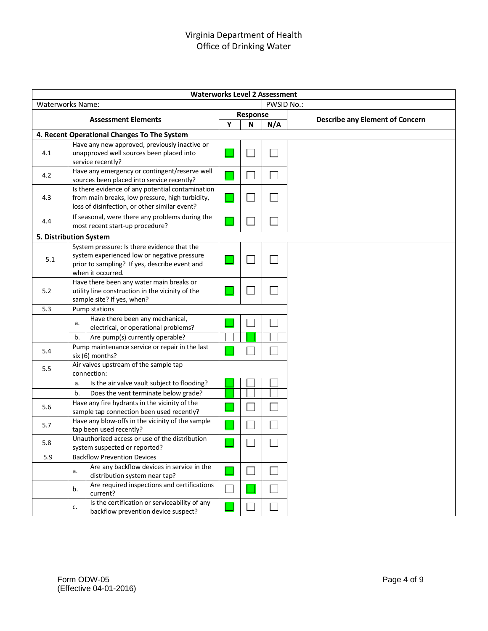| <b>Waterworks Level 2 Assessment</b> |    |                                                                                                  |   |            |     |                                        |  |  |  |
|--------------------------------------|----|--------------------------------------------------------------------------------------------------|---|------------|-----|----------------------------------------|--|--|--|
| <b>Waterworks Name:</b>              |    |                                                                                                  |   | PWSID No.: |     |                                        |  |  |  |
|                                      |    |                                                                                                  |   | Response   |     |                                        |  |  |  |
|                                      |    | <b>Assessment Elements</b>                                                                       | Y | N          | N/A | <b>Describe any Element of Concern</b> |  |  |  |
|                                      |    | 4. Recent Operational Changes To The System                                                      |   |            |     |                                        |  |  |  |
| 4.1                                  |    | Have any new approved, previously inactive or<br>unapproved well sources been placed into        |   |            |     |                                        |  |  |  |
|                                      |    | service recently?                                                                                |   |            |     |                                        |  |  |  |
| 4.2                                  |    | Have any emergency or contingent/reserve well<br>sources been placed into service recently?      |   |            |     |                                        |  |  |  |
|                                      |    | Is there evidence of any potential contamination                                                 |   |            |     |                                        |  |  |  |
| 4.3                                  |    | from main breaks, low pressure, high turbidity,<br>loss of disinfection, or other similar event? |   |            |     |                                        |  |  |  |
| 4.4                                  |    | If seasonal, were there any problems during the<br>most recent start-up procedure?               |   |            |     |                                        |  |  |  |
| 5. Distribution System               |    |                                                                                                  |   |            |     |                                        |  |  |  |
|                                      |    | System pressure: Is there evidence that the                                                      |   |            |     |                                        |  |  |  |
| 5.1                                  |    | system experienced low or negative pressure                                                      |   |            |     |                                        |  |  |  |
|                                      |    | prior to sampling? If yes, describe event and                                                    |   |            |     |                                        |  |  |  |
|                                      |    | when it occurred.                                                                                |   |            |     |                                        |  |  |  |
| 5.2                                  |    | Have there been any water main breaks or<br>utility line construction in the vicinity of the     |   |            |     |                                        |  |  |  |
|                                      |    | sample site? If yes, when?                                                                       |   |            |     |                                        |  |  |  |
| 5.3                                  |    | Pump stations                                                                                    |   |            |     |                                        |  |  |  |
|                                      |    | Have there been any mechanical,                                                                  |   |            |     |                                        |  |  |  |
|                                      | a. | electrical, or operational problems?                                                             |   |            |     |                                        |  |  |  |
|                                      | b. | Are pump(s) currently operable?                                                                  |   |            |     |                                        |  |  |  |
| 5.4                                  |    | Pump maintenance service or repair in the last<br>six (6) months?                                |   |            |     |                                        |  |  |  |
| 5.5                                  |    | Air valves upstream of the sample tap                                                            |   |            |     |                                        |  |  |  |
|                                      |    | connection:                                                                                      |   |            |     |                                        |  |  |  |
|                                      | a. | Is the air valve vault subject to flooding?                                                      |   |            |     |                                        |  |  |  |
|                                      | b. | Does the vent terminate below grade?                                                             |   |            |     |                                        |  |  |  |
| 5.6                                  |    | Have any fire hydrants in the vicinity of the<br>sample tap connection been used recently?       |   |            |     |                                        |  |  |  |
| 5.7                                  |    | Have any blow-offs in the vicinity of the sample<br>tap been used recently?                      |   |            |     |                                        |  |  |  |
| 5.8                                  |    | Unauthorized access or use of the distribution                                                   |   | ىسا        | ᆸ   |                                        |  |  |  |
| 5.9                                  |    | system suspected or reported?<br><b>Backflow Prevention Devices</b>                              |   |            |     |                                        |  |  |  |
|                                      |    | Are any backflow devices in service in the                                                       |   |            |     |                                        |  |  |  |
|                                      | a. | distribution system near tap?                                                                    |   |            |     |                                        |  |  |  |
|                                      | b. | Are required inspections and certifications<br>current?                                          |   |            |     |                                        |  |  |  |
|                                      | c. | Is the certification or serviceability of any<br>backflow prevention device suspect?             |   |            |     |                                        |  |  |  |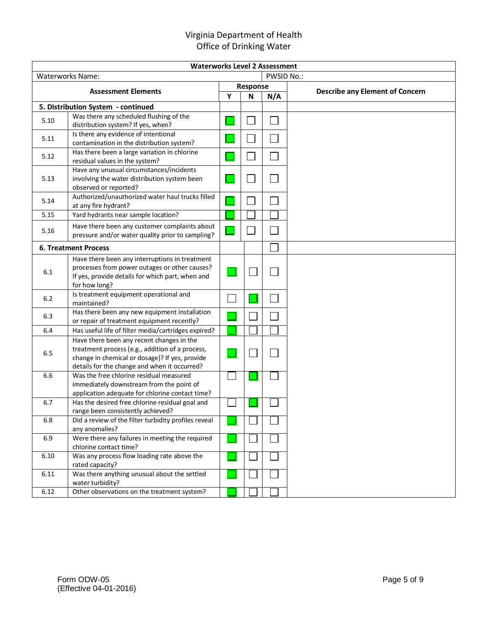| <b>Waterworks Level 2 Assessment</b> |                                                                                                                                                                                                |  |          |            |                                        |  |  |  |  |
|--------------------------------------|------------------------------------------------------------------------------------------------------------------------------------------------------------------------------------------------|--|----------|------------|----------------------------------------|--|--|--|--|
|                                      | <b>Waterworks Name:</b>                                                                                                                                                                        |  |          | PWSID No.: |                                        |  |  |  |  |
|                                      |                                                                                                                                                                                                |  | Response |            |                                        |  |  |  |  |
| <b>Assessment Elements</b>           |                                                                                                                                                                                                |  | N        | N/A        | <b>Describe any Element of Concern</b> |  |  |  |  |
|                                      | 5. Distribution System - continued                                                                                                                                                             |  |          |            |                                        |  |  |  |  |
| 5.10                                 | Was there any scheduled flushing of the<br>distribution system? If yes, when?                                                                                                                  |  |          |            |                                        |  |  |  |  |
| 5.11                                 | Is there any evidence of intentional<br>contamination in the distribution system?                                                                                                              |  |          |            |                                        |  |  |  |  |
| 5.12                                 | Has there been a large variation in chlorine<br>residual values in the system?                                                                                                                 |  |          |            |                                        |  |  |  |  |
| 5.13                                 | Have any unusual circumstances/incidents<br>involving the water distribution system been<br>observed or reported?                                                                              |  |          |            |                                        |  |  |  |  |
| 5.14                                 | Authorized/unauthorized water haul trucks filled<br>at any fire hydrant?                                                                                                                       |  |          |            |                                        |  |  |  |  |
| 5.15                                 | Yard hydrants near sample location?                                                                                                                                                            |  |          |            |                                        |  |  |  |  |
| 5.16                                 | Have there been any customer complaints about<br>pressure and/or water quality prior to sampling?                                                                                              |  |          |            |                                        |  |  |  |  |
|                                      | <b>6. Treatment Process</b>                                                                                                                                                                    |  |          |            |                                        |  |  |  |  |
| 6.1                                  | Have there been any interruptions in treatment<br>processes from power outages or other causes?<br>If yes, provide details for which part, when and<br>for how long?                           |  |          |            |                                        |  |  |  |  |
| $6.2$                                | Is treatment equipment operational and<br>maintained?                                                                                                                                          |  |          |            |                                        |  |  |  |  |
| 6.3                                  | Has there been any new equipment installation<br>or repair of treatment equipment recently?                                                                                                    |  |          |            |                                        |  |  |  |  |
| 6.4                                  | Has useful life of filter media/cartridges expired?                                                                                                                                            |  |          |            |                                        |  |  |  |  |
| 6.5                                  | Have there been any recent changes in the<br>treatment process (e.g., addition of a process,<br>change in chemical or dosage)? If yes, provide<br>details for the change and when it occurred? |  |          |            |                                        |  |  |  |  |
| 6.6                                  | Was the free chlorine residual measured<br>immediately downstream from the point of<br>application adequate for chlorine contact time?                                                         |  |          |            |                                        |  |  |  |  |
| 6.7                                  | Has the desired free chlorine residual goal and<br>range been consistently achieved?                                                                                                           |  |          |            |                                        |  |  |  |  |
| 6.8                                  | Did a review of the filter turbidity profiles reveal<br>any anomalies?                                                                                                                         |  |          |            |                                        |  |  |  |  |
| 6.9                                  | Were there any failures in meeting the required<br>chlorine contact time?                                                                                                                      |  |          |            |                                        |  |  |  |  |
| 6.10                                 | Was any process flow loading rate above the<br>rated capacity?                                                                                                                                 |  |          |            |                                        |  |  |  |  |
| 6.11                                 | Was there anything unusual about the settled<br>water turbidity?                                                                                                                               |  |          |            |                                        |  |  |  |  |
| 6.12                                 | Other observations on the treatment system?                                                                                                                                                    |  |          |            |                                        |  |  |  |  |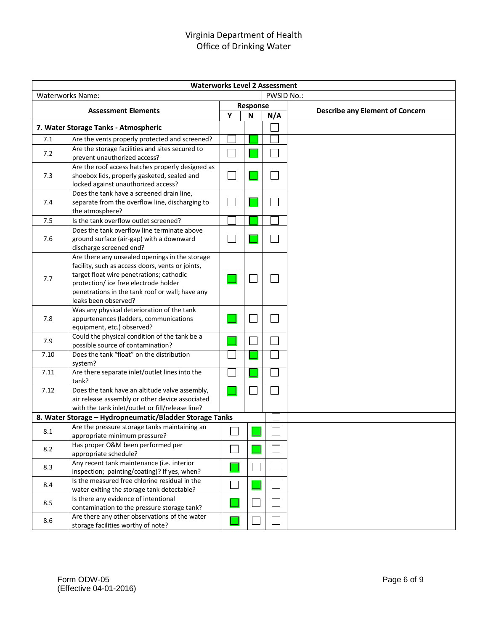|      | <b>Waterworks Level 2 Assessment</b>                                                                     |                             |  |          |            |                                        |  |  |  |
|------|----------------------------------------------------------------------------------------------------------|-----------------------------|--|----------|------------|----------------------------------------|--|--|--|
|      | <b>Waterworks Name:</b>                                                                                  |                             |  |          | PWSID No.: |                                        |  |  |  |
|      |                                                                                                          |                             |  | Response |            |                                        |  |  |  |
|      | <b>Assessment Elements</b>                                                                               | Υ                           |  | N        | N/A        | <b>Describe any Element of Concern</b> |  |  |  |
|      | 7. Water Storage Tanks - Atmospheric                                                                     |                             |  |          |            |                                        |  |  |  |
| 7.1  | Are the vents properly protected and screened?                                                           |                             |  |          |            |                                        |  |  |  |
| 7.2  | Are the storage facilities and sites secured to                                                          |                             |  |          |            |                                        |  |  |  |
|      | prevent unauthorized access?                                                                             |                             |  |          |            |                                        |  |  |  |
|      | Are the roof access hatches properly designed as                                                         |                             |  |          |            |                                        |  |  |  |
| 7.3  | shoebox lids, properly gasketed, sealed and                                                              |                             |  |          |            |                                        |  |  |  |
|      | locked against unauthorized access?<br>Does the tank have a screened drain line,                         |                             |  |          |            |                                        |  |  |  |
| 7.4  | separate from the overflow line, discharging to                                                          |                             |  |          |            |                                        |  |  |  |
|      | the atmosphere?                                                                                          |                             |  |          |            |                                        |  |  |  |
| 7.5  | Is the tank overflow outlet screened?                                                                    |                             |  |          |            |                                        |  |  |  |
|      | Does the tank overflow line terminate above                                                              |                             |  |          |            |                                        |  |  |  |
| 7.6  | ground surface (air-gap) with a downward                                                                 |                             |  |          |            |                                        |  |  |  |
|      | discharge screened end?                                                                                  |                             |  |          |            |                                        |  |  |  |
|      | Are there any unsealed openings in the storage                                                           |                             |  |          |            |                                        |  |  |  |
|      | facility, such as access doors, vents or joints,                                                         |                             |  |          |            |                                        |  |  |  |
| 7.7  | target float wire penetrations; cathodic<br>protection/ice free electrode holder                         |                             |  |          |            |                                        |  |  |  |
|      | penetrations in the tank roof or wall; have any                                                          |                             |  |          |            |                                        |  |  |  |
|      | leaks been observed?                                                                                     |                             |  |          |            |                                        |  |  |  |
|      | Was any physical deterioration of the tank                                                               |                             |  |          |            |                                        |  |  |  |
| 7.8  | appurtenances (ladders, communications                                                                   |                             |  |          |            |                                        |  |  |  |
|      | equipment, etc.) observed?                                                                               |                             |  |          |            |                                        |  |  |  |
| 7.9  | Could the physical condition of the tank be a<br>possible source of contamination?                       |                             |  |          |            |                                        |  |  |  |
| 7.10 | Does the tank "float" on the distribution                                                                |                             |  |          |            |                                        |  |  |  |
|      | system?                                                                                                  |                             |  |          |            |                                        |  |  |  |
| 7.11 | Are there separate inlet/outlet lines into the                                                           |                             |  |          |            |                                        |  |  |  |
|      | tank?                                                                                                    |                             |  |          |            |                                        |  |  |  |
| 7.12 | Does the tank have an altitude valve assembly,                                                           |                             |  |          |            |                                        |  |  |  |
|      | air release assembly or other device associated                                                          |                             |  |          |            |                                        |  |  |  |
|      | with the tank inlet/outlet or fill/release line?                                                         |                             |  |          |            |                                        |  |  |  |
|      | 8. Water Storage - Hydropneumatic/Bladder Storage Tanks<br>Are the pressure storage tanks maintaining an |                             |  |          |            |                                        |  |  |  |
| 8.1  | appropriate minimum pressure?                                                                            |                             |  |          |            |                                        |  |  |  |
|      | Has proper O&M been performed per                                                                        |                             |  |          |            |                                        |  |  |  |
| 8.2  | appropriate schedule?                                                                                    | $\mathbf{L}$                |  |          |            |                                        |  |  |  |
| 8.3  | Any recent tank maintenance (i.e. interior                                                               |                             |  |          |            |                                        |  |  |  |
|      | inspection; painting/coating)? If yes, when?                                                             |                             |  |          |            |                                        |  |  |  |
| 8.4  | Is the measured free chlorine residual in the                                                            | $\mathcal{L}_{\mathcal{A}}$ |  |          |            |                                        |  |  |  |
|      | water exiting the storage tank detectable?                                                               |                             |  |          |            |                                        |  |  |  |
| 8.5  | Is there any evidence of intentional<br>contamination to the pressure storage tank?                      |                             |  |          |            |                                        |  |  |  |
|      | Are there any other observations of the water                                                            |                             |  |          |            |                                        |  |  |  |
| 8.6  | storage facilities worthy of note?                                                                       |                             |  |          |            |                                        |  |  |  |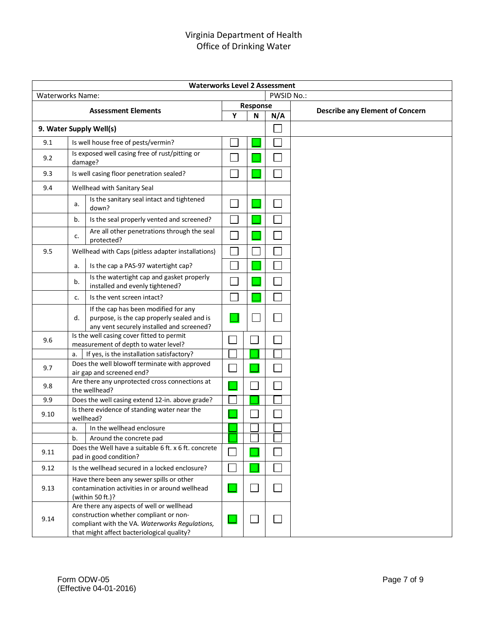| <b>Waterworks Level 2 Assessment</b> |         |                                                                                                                                                                                     |                          |               |                |                                        |  |  |
|--------------------------------------|---------|-------------------------------------------------------------------------------------------------------------------------------------------------------------------------------------|--------------------------|---------------|----------------|----------------------------------------|--|--|
| <b>Waterworks Name:</b>              |         |                                                                                                                                                                                     |                          | PWSID No.:    |                |                                        |  |  |
|                                      |         | <b>Assessment Elements</b>                                                                                                                                                          |                          | Response      |                | <b>Describe any Element of Concern</b> |  |  |
|                                      |         |                                                                                                                                                                                     | Y                        | N             | N/A            |                                        |  |  |
|                                      |         | 9. Water Supply Well(s)                                                                                                                                                             |                          |               |                |                                        |  |  |
| 9.1                                  |         | Is well house free of pests/vermin?                                                                                                                                                 |                          |               |                |                                        |  |  |
| 9.2                                  | damage? | Is exposed well casing free of rust/pitting or                                                                                                                                      |                          |               |                |                                        |  |  |
| 9.3                                  |         | Is well casing floor penetration sealed?                                                                                                                                            | $\mathbf{L}$             |               | Ξ              |                                        |  |  |
| 9.4                                  |         | Wellhead with Sanitary Seal                                                                                                                                                         |                          |               |                |                                        |  |  |
|                                      | a.      | Is the sanitary seal intact and tightened<br>down?                                                                                                                                  | $\mathbf{I}$             |               |                |                                        |  |  |
|                                      | b.      | Is the seal properly vented and screened?                                                                                                                                           |                          |               |                |                                        |  |  |
|                                      | c.      | Are all other penetrations through the seal<br>protected?                                                                                                                           |                          |               |                |                                        |  |  |
| 9.5                                  |         | Wellhead with Caps (pitless adapter installations)                                                                                                                                  |                          |               |                |                                        |  |  |
|                                      | a.      | Is the cap a PAS-97 watertight cap?                                                                                                                                                 |                          |               |                |                                        |  |  |
|                                      | b.      | Is the watertight cap and gasket properly<br>installed and evenly tightened?                                                                                                        | $\overline{\phantom{a}}$ |               |                |                                        |  |  |
|                                      | c.      | Is the vent screen intact?                                                                                                                                                          |                          |               |                |                                        |  |  |
|                                      | d.      | If the cap has been modified for any<br>purpose, is the cap properly sealed and is<br>any vent securely installed and screened?                                                     |                          |               | l.             |                                        |  |  |
| 9.6                                  |         | Is the well casing cover fitted to permit<br>measurement of depth to water level?                                                                                                   |                          |               |                |                                        |  |  |
|                                      | a.      | If yes, is the installation satisfactory?                                                                                                                                           |                          |               |                |                                        |  |  |
| 9.7                                  |         | Does the well blowoff terminate with approved<br>air gap and screened end?                                                                                                          |                          |               |                |                                        |  |  |
| 9.8                                  |         | Are there any unprotected cross connections at<br>the wellhead?                                                                                                                     |                          |               |                |                                        |  |  |
| 9.9                                  |         | Does the well casing extend 12-in. above grade?                                                                                                                                     |                          |               |                |                                        |  |  |
| 9.10                                 |         | Is there evidence of standing water near the<br>wellhead?                                                                                                                           |                          |               |                |                                        |  |  |
|                                      | a.      | In the wellhead enclosure                                                                                                                                                           |                          |               |                |                                        |  |  |
|                                      | b.      | Around the concrete pad                                                                                                                                                             |                          |               |                |                                        |  |  |
| 9.11                                 |         | Does the Well have a suitable 6 ft. x 6 ft. concrete<br>pad in good condition?                                                                                                      |                          |               | $\mathbb{R}^n$ |                                        |  |  |
| 9.12                                 |         | Is the wellhead secured in a locked enclosure?                                                                                                                                      |                          |               | l.             |                                        |  |  |
| 9.13                                 |         | Have there been any sewer spills or other<br>contamination activities in or around wellhead<br>(within 50 ft.)?                                                                     |                          | $\mathcal{A}$ | $\mathbb{R}^2$ |                                        |  |  |
| 9.14                                 |         | Are there any aspects of well or wellhead<br>construction whether compliant or non-<br>compliant with the VA. Waterworks Regulations,<br>that might affect bacteriological quality? |                          |               | $\Box$         |                                        |  |  |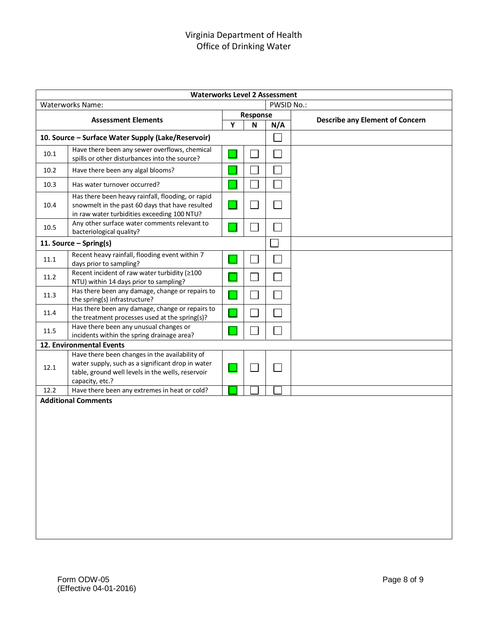|                            | <b>Waterworks Level 2 Assessment</b>                                                                                                                                        |            |          |        |                                        |  |  |  |
|----------------------------|-----------------------------------------------------------------------------------------------------------------------------------------------------------------------------|------------|----------|--------|----------------------------------------|--|--|--|
|                            | <b>Waterworks Name:</b>                                                                                                                                                     | PWSID No.: |          |        |                                        |  |  |  |
|                            |                                                                                                                                                                             |            | Response |        |                                        |  |  |  |
| <b>Assessment Elements</b> |                                                                                                                                                                             | Υ          | N        | N/A    | <b>Describe any Element of Concern</b> |  |  |  |
|                            | 10. Source - Surface Water Supply (Lake/Reservoir)                                                                                                                          |            |          | $\sim$ |                                        |  |  |  |
| 10.1                       | Have there been any sewer overflows, chemical<br>spills or other disturbances into the source?                                                                              |            |          |        |                                        |  |  |  |
| 10.2                       | Have there been any algal blooms?                                                                                                                                           |            |          |        |                                        |  |  |  |
| 10.3                       | Has water turnover occurred?                                                                                                                                                |            |          |        |                                        |  |  |  |
| 10.4                       | Has there been heavy rainfall, flooding, or rapid<br>snowmelt in the past 60 days that have resulted<br>in raw water turbidities exceeding 100 NTU?                         |            |          |        |                                        |  |  |  |
| 10.5                       | Any other surface water comments relevant to<br>bacteriological quality?                                                                                                    |            |          |        |                                        |  |  |  |
|                            | 11. Source - Spring(s)                                                                                                                                                      |            |          |        |                                        |  |  |  |
| 11.1                       | Recent heavy rainfall, flooding event within 7<br>days prior to sampling?                                                                                                   |            |          |        |                                        |  |  |  |
| 11.2                       | Recent incident of raw water turbidity (≥100<br>NTU) within 14 days prior to sampling?                                                                                      |            |          |        |                                        |  |  |  |
| 11.3                       | Has there been any damage, change or repairs to<br>the spring(s) infrastructure?                                                                                            |            |          |        |                                        |  |  |  |
| 11.4                       | Has there been any damage, change or repairs to<br>the treatment processes used at the spring(s)?                                                                           |            |          |        |                                        |  |  |  |
| 11.5                       | Have there been any unusual changes or<br>incidents within the spring drainage area?                                                                                        |            |          |        |                                        |  |  |  |
|                            | 12. Environmental Events                                                                                                                                                    |            |          |        |                                        |  |  |  |
| 12.1                       | Have there been changes in the availability of<br>water supply, such as a significant drop in water<br>table, ground well levels in the wells, reservoir<br>capacity, etc.? |            |          |        |                                        |  |  |  |
| 12.2                       | Have there been any extremes in heat or cold?                                                                                                                               |            |          |        |                                        |  |  |  |
|                            | <b>Additional Comments</b>                                                                                                                                                  |            |          |        |                                        |  |  |  |